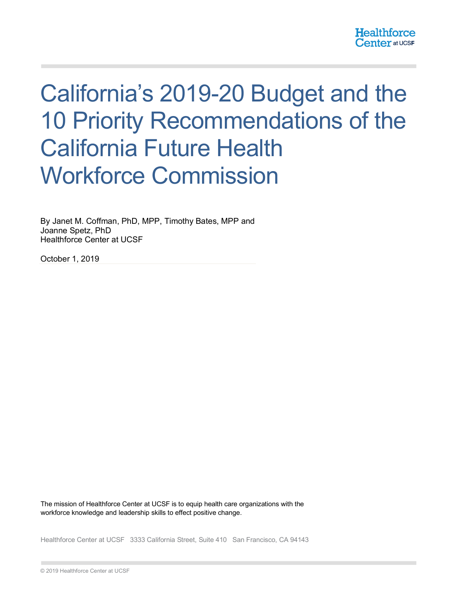# California's 2019-20 Budget and the 10 Priority Recommendations of the California Future Health Workforce Commission

By Janet M. Coffman, PhD, MPP, Timothy Bates, MPP and Joanne Spetz, PhD Healthforce Center at UCSF

October 1, 2019

The mission of Healthforce Center at UCSF is to equip health care organizations with the workforce knowledge and leadership skills to effect positive change.

Healthforce Center at UCSF 3333 California Street, Suite 410 San Francisco, CA 94143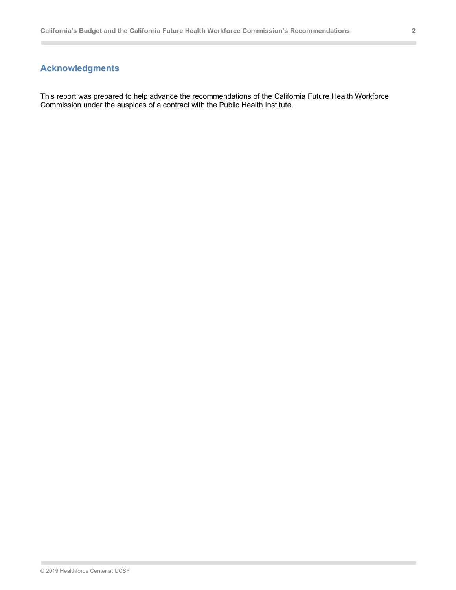# **Acknowledgments**

This report was prepared to help advance the recommendations of the California Future Health Workforce Commission under the auspices of a contract with the Public Health Institute.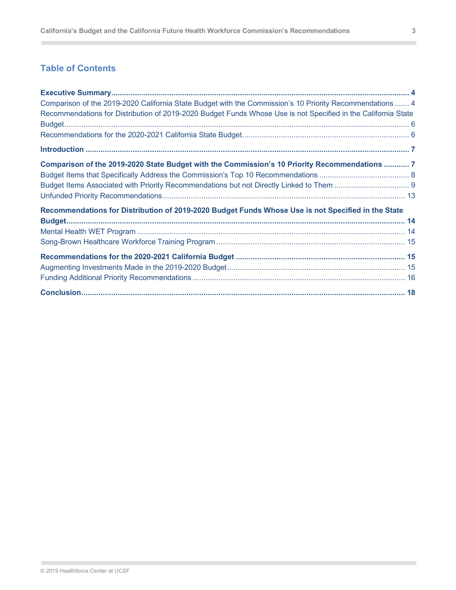# **Table of Contents**

 $\sim$ 

| Comparison of the 2019-2020 California State Budget with the Commission's 10 Priority Recommendations  4      |  |
|---------------------------------------------------------------------------------------------------------------|--|
| Recommendations for Distribution of 2019-2020 Budget Funds Whose Use is not Specified in the California State |  |
|                                                                                                               |  |
|                                                                                                               |  |
|                                                                                                               |  |
| Comparison of the 2019-2020 State Budget with the Commission's 10 Priority Recommendations  7                 |  |
|                                                                                                               |  |
|                                                                                                               |  |
|                                                                                                               |  |
| Recommendations for Distribution of 2019-2020 Budget Funds Whose Use is not Specified in the State            |  |
|                                                                                                               |  |
|                                                                                                               |  |
|                                                                                                               |  |
|                                                                                                               |  |
|                                                                                                               |  |
|                                                                                                               |  |
|                                                                                                               |  |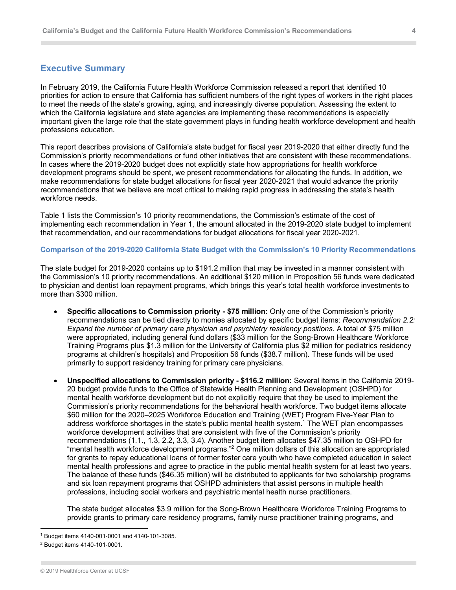## **Executive Summary**

In February 2019, the California Future Health Workforce Commission released a report that identified 10 priorities for action to ensure that California has sufficient numbers of the right types of workers in the right places to meet the needs of the state's growing, aging, and increasingly diverse population. Assessing the extent to which the California legislature and state agencies are implementing these recommendations is especially important given the large role that the state government plays in funding health workforce development and health professions education.

This report describes provisions of California's state budget for fiscal year 2019-2020 that either directly fund the Commission's priority recommendations or fund other initiatives that are consistent with these recommendations. In cases where the 2019-2020 budget does not explicitly state how appropriations for health workforce development programs should be spent, we present recommendations for allocating the funds. In addition, we make recommendations for state budget allocations for fiscal year 2020-2021 that would advance the priority recommendations that we believe are most critical to making rapid progress in addressing the state's health workforce needs.

Table 1 lists the Commission's 10 priority recommendations, the Commission's estimate of the cost of implementing each recommendation in Year 1, the amount allocated in the 2019-2020 state budget to implement that recommendation, and our recommendations for budget allocations for fiscal year 2020-2021.

#### **Comparison of the 2019-2020 California State Budget with the Commission's 10 Priority Recommendations**

The state budget for 2019-2020 contains up to \$191.2 million that may be invested in a manner consistent with the Commission's 10 priority recommendations. An additional \$120 million in Proposition 56 funds were dedicated to physician and dentist loan repayment programs, which brings this year's total health workforce investments to more than \$300 million.

- **Specific allocations to Commission priority - \$75 million:** Only one of the Commission's priority recommendations can be tied directly to monies allocated by specific budget items: *Recommendation 2.2: Expand the number of primary care physician and psychiatry residency positions*. A total of \$75 million were appropriated, including general fund dollars (\$33 million for the Song-Brown Healthcare Workforce Training Programs plus \$1.3 million for the University of California plus \$2 million for pediatrics residency programs at children's hospitals) and Proposition 56 funds (\$38.7 million). These funds will be used primarily to support residency training for primary care physicians.
- **Unspecified allocations to Commission priority - \$116.2 million:** Several items in the California 2019- 20 budget provide funds to the Office of Statewide Health Planning and Development (OSHPD) for mental health workforce development but do not explicitly require that they be used to implement the Commission's priority recommendations for the behavioral health workforce. Two budget items allocate \$60 million for the 2020–2025 Workforce Education and Training (WET) Program Five-Year Plan to address workforce shortages in the state's public mental health system.1 The WET plan encompasses workforce development activities that are consistent with five of the Commission's priority recommendations (1.1., 1.3, 2.2, 3.3, 3.4). Another budget item allocates \$47.35 million to OSHPD for "mental health workforce development programs."2 One million dollars of this allocation are appropriated for grants to repay educational loans of former foster care youth who have completed education in select mental health professions and agree to practice in the public mental health system for at least two years. The balance of these funds (\$46.35 million) will be distributed to applicants for two scholarship programs and six loan repayment programs that OSHPD administers that assist persons in multiple health professions, including social workers and psychiatric mental health nurse practitioners.

The state budget allocates \$3.9 million for the Song-Brown Healthcare Workforce Training Programs to provide grants to primary care residency programs, family nurse practitioner training programs, and

<sup>1</sup> Budget items 4140-001-0001 and 4140-101-3085.

<sup>2</sup> Budget items 4140-101-0001.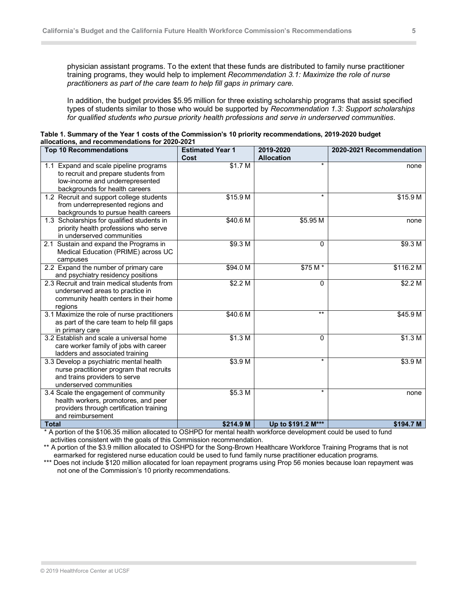physician assistant programs. To the extent that these funds are distributed to family nurse practitioner training programs, they would help to implement *Recommendation 3.1: Maximize the role of nurse practitioners as part of the care team to help fill gaps in primary care.*

In addition, the budget provides \$5.95 million for three existing scholarship programs that assist specified types of students similar to those who would be supported by *Recommendation 1.3: Support scholarships for qualified students who pursue priority health professions and serve in underserved communities*.

| Table 1. Summary of the Year 1 costs of the Commission's 10 priority recommendations, 2019-2020 budget |  |
|--------------------------------------------------------------------------------------------------------|--|
| allocations, and recommendations for 2020-2021                                                         |  |

| <b>Top 10 Recommendations</b>                | <b>Estimated Year 1</b> | 2019-2020          | 2020-2021 Recommendation |
|----------------------------------------------|-------------------------|--------------------|--------------------------|
|                                              | Cost                    | <b>Allocation</b>  |                          |
| 1.1 Expand and scale pipeline programs       | \$1.7 M                 | $\ast$             | none                     |
| to recruit and prepare students from         |                         |                    |                          |
| low-income and underrepresented              |                         |                    |                          |
| backgrounds for health careers               |                         |                    |                          |
| 1.2 Recruit and support college students     | \$15.9 M                | $\star$            | \$15.9 M                 |
| from underrepresented regions and            |                         |                    |                          |
| backgrounds to pursue health careers         |                         |                    |                          |
| 1.3 Scholarships for qualified students in   | \$40.6 M                | \$5.95 M           | none                     |
| priority health professions who serve        |                         |                    |                          |
| in underserved communities                   |                         |                    |                          |
| 2.1 Sustain and expand the Programs in       | \$9.3 M                 | 0                  | \$9.3 M                  |
| Medical Education (PRIME) across UC          |                         |                    |                          |
| campuses                                     |                         |                    |                          |
| 2.2 Expand the number of primary care        | \$94.0 M                | \$75 M*            | \$116.2 M                |
| and psychiatry residency positions           |                         |                    |                          |
| 2.3 Recruit and train medical students from  | \$2.2 M                 | 0                  | \$2.2 M                  |
| underserved areas to practice in             |                         |                    |                          |
| community health centers in their home       |                         |                    |                          |
| regions                                      |                         |                    |                          |
| 3.1 Maximize the role of nurse practitioners | \$40.6 M                | $***$              | \$45.9 M                 |
| as part of the care team to help fill gaps   |                         |                    |                          |
| in primary care                              |                         |                    |                          |
| 3.2 Establish and scale a universal home     | \$1.3 M                 | 0                  | \$1.3 M                  |
| care worker family of jobs with career       |                         |                    |                          |
| ladders and associated training              |                         |                    |                          |
| 3.3 Develop a psychiatric mental health      | \$3.9 M                 | $\star$            | \$3.9 M                  |
| nurse practitioner program that recruits     |                         |                    |                          |
| and trains providers to serve                |                         |                    |                          |
| underserved communities                      |                         |                    |                          |
| 3.4 Scale the engagement of community        | \$5.3 M                 | $\star$            | none                     |
| health workers, promotores, and peer         |                         |                    |                          |
| providers through certification training     |                         |                    |                          |
| and reimbursement                            |                         |                    |                          |
| <b>Total</b>                                 | \$214.9 M               | Up to \$191.2 M*** | \$194.7 M                |

 \* A portion of the \$106.35 million allocated to OSHPD for mental health workforce development could be used to fund activities consistent with the goals of this Commission recommendation.

\*\* A portion of the \$3.9 million allocated to OSHPD for the Song-Brown Healthcare Workforce Training Programs that is not earmarked for registered nurse education could be used to fund family nurse practitioner education programs.

\*\*\* Does not include \$120 million allocated for loan repayment programs using Prop 56 monies because loan repayment was not one of the Commission's 10 priority recommendations.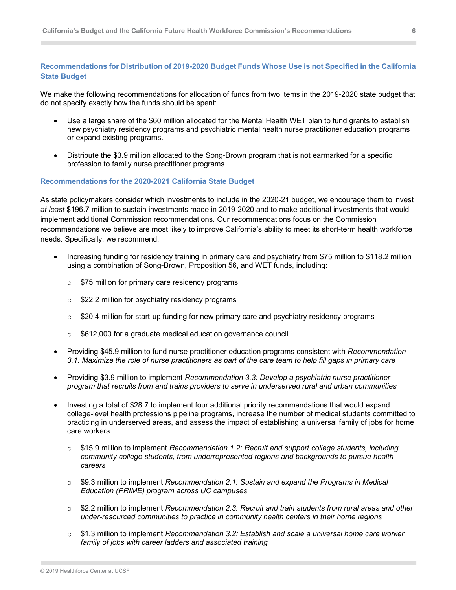## **Recommendations for Distribution of 2019-2020 Budget Funds Whose Use is not Specified in the California State Budget**

We make the following recommendations for allocation of funds from two items in the 2019-2020 state budget that do not specify exactly how the funds should be spent:

- Use a large share of the \$60 million allocated for the Mental Health WET plan to fund grants to establish new psychiatry residency programs and psychiatric mental health nurse practitioner education programs or expand existing programs.
- Distribute the \$3.9 million allocated to the Song-Brown program that is not earmarked for a specific profession to family nurse practitioner programs.

#### **Recommendations for the 2020-2021 California State Budget**

As state policymakers consider which investments to include in the 2020-21 budget, we encourage them to invest *at least* \$196.7 million to sustain investments made in 2019-2020 and to make additional investments that would implement additional Commission recommendations. Our recommendations focus on the Commission recommendations we believe are most likely to improve California's ability to meet its short-term health workforce needs. Specifically, we recommend:

- Increasing funding for residency training in primary care and psychiatry from \$75 million to \$118.2 million using a combination of Song-Brown, Proposition 56, and WET funds, including:
	- o \$75 million for primary care residency programs
	- **S22.2 million for psychiatry residency programs**
	- $\circ$  \$20.4 million for start-up funding for new primary care and psychiatry residency programs
	- o \$612,000 for a graduate medical education governance council
- Providing \$45.9 million to fund nurse practitioner education programs consistent with *Recommendation 3.1: Maximize the role of nurse practitioners as part of the care team to help fill gaps in primary care*
- Providing \$3.9 million to implement *Recommendation 3.3: Develop a psychiatric nurse practitioner program that recruits from and trains providers to serve in underserved rural and urban communities*
- Investing a total of \$28.7 to implement four additional priority recommendations that would expand college-level health professions pipeline programs, increase the number of medical students committed to practicing in underserved areas, and assess the impact of establishing a universal family of jobs for home care workers
	- o \$15.9 million to implement *Recommendation 1.2: Recruit and support college students, including community college students, from underrepresented regions and backgrounds to pursue health careers*
	- o \$9.3 million to implement *Recommendation 2.1: Sustain and expand the Programs in Medical Education (PRIME) program across UC campuses*
	- o \$2.2 million to implement *Recommendation 2.3: Recruit and train students from rural areas and other under-resourced communities to practice in community health centers in their home regions*
	- o \$1.3 million to implement *Recommendation 3.2: Establish and scale a universal home care worker family of jobs with career ladders and associated training*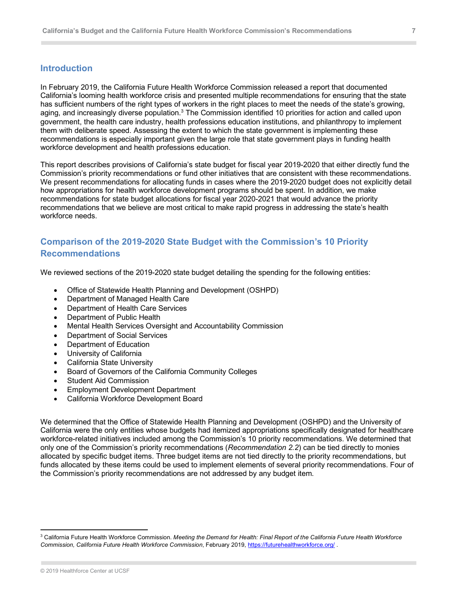# **Introduction**

In February 2019, the California Future Health Workforce Commission released a report that documented California's looming health workforce crisis and presented multiple recommendations for ensuring that the state has sufficient numbers of the right types of workers in the right places to meet the needs of the state's growing, aging, and increasingly diverse population.<sup>3</sup> The Commission identified 10 priorities for action and called upon government, the health care industry, health professions education institutions, and philanthropy to implement them with deliberate speed. Assessing the extent to which the state government is implementing these recommendations is especially important given the large role that state government plays in funding health workforce development and health professions education.

This report describes provisions of California's state budget for fiscal year 2019-2020 that either directly fund the Commission's priority recommendations or fund other initiatives that are consistent with these recommendations. We present recommendations for allocating funds in cases where the 2019-2020 budget does not explicitly detail how appropriations for health workforce development programs should be spent. In addition, we make recommendations for state budget allocations for fiscal year 2020-2021 that would advance the priority recommendations that we believe are most critical to make rapid progress in addressing the state's health workforce needs.

# **Comparison of the 2019-2020 State Budget with the Commission's 10 Priority Recommendations**

We reviewed sections of the 2019-2020 state budget detailing the spending for the following entities:

- Office of Statewide Health Planning and Development (OSHPD)
- Department of Managed Health Care
- Department of Health Care Services
- Department of Public Health
- Mental Health Services Oversight and Accountability Commission
- Department of Social Services
- Department of Education
- University of California
- California State University
- Board of Governors of the California Community Colleges
- Student Aid Commission
- Employment Development Department
- California Workforce Development Board

We determined that the Office of Statewide Health Planning and Development (OSHPD) and the University of California were the only entities whose budgets had itemized appropriations specifically designated for healthcare workforce-related initiatives included among the Commission's 10 priority recommendations. We determined that only one of the Commission's priority recommendations (*Recommendation 2.2*) can be tied directly to monies allocated by specific budget items. Three budget items are not tied directly to the priority recommendations, but funds allocated by these items could be used to implement elements of several priority recommendations. Four of the Commission's priority recommendations are not addressed by any budget item.

<sup>3</sup> California Future Health Workforce Commission. *Meeting the Demand for Health: Final Report of the California Future Health Workforce Commission, California Future Health Workforce Commission*, February 2019, https://futurehealthworkforce.org/ .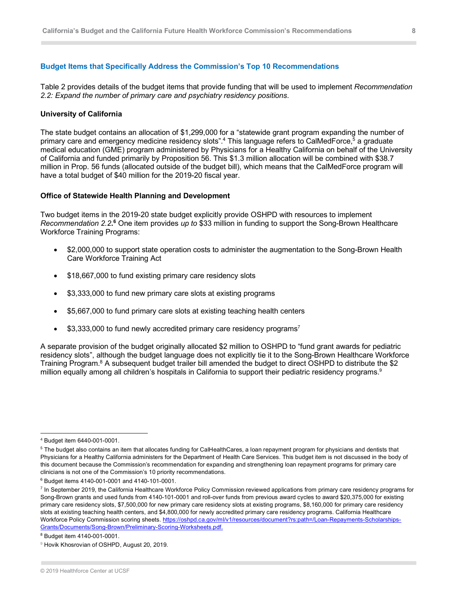#### **Budget Items that Specifically Address the Commission's Top 10 Recommendations**

Table 2 provides details of the budget items that provide funding that will be used to implement *Recommendation 2.2: Expand the number of primary care and psychiatry residency positions*.

#### **University of California**

The state budget contains an allocation of \$1,299,000 for a "statewide grant program expanding the number of primary care and emergency medicine residency slots".<sup>4</sup> This language refers to CalMedForce,<sup>5</sup> a graduate medical education (GME) program administered by Physicians for a Healthy California on behalf of the University of California and funded primarily by Proposition 56. This \$1.3 million allocation will be combined with \$38.7 million in Prop. 56 funds (allocated outside of the budget bill), which means that the CalMedForce program will have a total budget of \$40 million for the 2019-20 fiscal year.

#### **Office of Statewide Health Planning and Development**

Two budget items in the 2019-20 state budget explicitly provide OSHPD with resources to implement Recommendation 2.2.<sup>6</sup> One item provides up to \$33 million in funding to support the Song-Brown Healthcare Workforce Training Programs:

- \$2,000,000 to support state operation costs to administer the augmentation to the Song-Brown Health Care Workforce Training Act
- \$18,667,000 to fund existing primary care residency slots
- \$3,333,000 to fund new primary care slots at existing programs
- \$5,667,000 to fund primary care slots at existing teaching health centers
- $$3,333,000$  to fund newly accredited primary care residency programs<sup>7</sup>

A separate provision of the budget originally allocated \$2 million to OSHPD to "fund grant awards for pediatric residency slots", although the budget language does not explicitly tie it to the Song-Brown Healthcare Workforce Training Program.<sup>8</sup> A subsequent budget trailer bill amended the budget to direct OSHPD to distribute the \$2 million equally among all children's hospitals in California to support their pediatric residency programs. 9

<sup>4</sup> Budget item 6440-001-0001.

<sup>&</sup>lt;sup>5</sup> The budget also contains an item that allocates funding for CalHealthCares, a loan repayment program for physicians and dentists that Physicians for a Healthy California administers for the Department of Health Care Services. This budget item is not discussed in the body of this document because the Commission's recommendation for expanding and strengthening loan repayment programs for primary care clinicians is not one of the Commission's 10 priority recommendations.

<sup>6</sup> Budget items 4140-001-0001 and 4140-101-0001.

 $\frac{7}{1}$  In September 2019, the California Healthcare Workforce Policy Commission reviewed applications from primary care residency programs for Song-Brown grants and used funds from 4140-101-0001 and roll-over funds from previous award cycles to award \$20,375,000 for existing primary care residency slots, \$7,500,000 for new primary care residency slots at existing programs, \$8,160,000 for primary care residency slots at existing teaching health centers, and \$4,800,000 for newly accredited primary care residency programs. California Healthcare Workforce Policy Commission scoring sheets. https://oshpd.ca.gov/ml/v1/resources/document?rs:path=/Loan-Repayments-Scholarships-Grants/Documents/Song-Brown/Preliminary-Scoring-Worksheets.pdf.

<sup>8</sup> Budget item 4140-001-0001.

<sup>&</sup>lt;sup>9</sup> Hovik Khosrovian of OSHPD, August 20, 2019.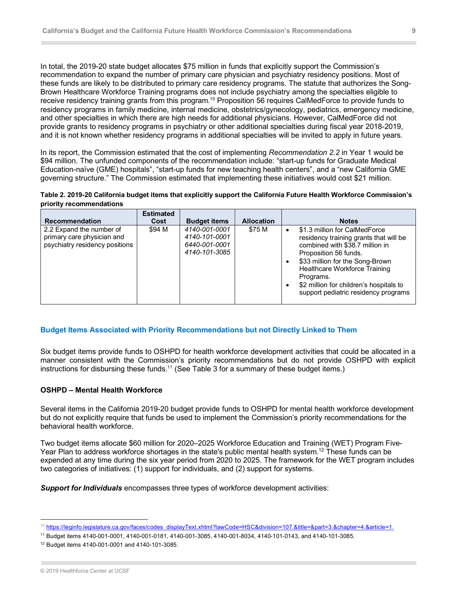In total, the 2019-20 state budget allocates \$75 million in funds that explicitly support the Commission's recommendation to expand the number of primary care physician and psychiatry residency positions. Most of these funds are likely to be distributed to primary care residency programs. The statute that authorizes the Song-Brown Healthcare Workforce Training programs does not include psychiatry among the specialties eligible to receive residency training grants from this program.<sup>10</sup> Proposition 56 requires CalMedForce to provide funds to residency programs in family medicine, internal medicine, obstetrics/gynecology, pediatrics, emergency medicine, and other specialties in which there are high needs for additional physicians. However, CalMedForce did not provide grants to residency programs in psychiatry or other additional specialties during fiscal year 2018-2019, and it is not known whether residency programs in additional specialties will be invited to apply in future years.

In its report, the Commission estimated that the cost of implementing *Recommendation 2.2* in Year 1 would be \$94 million. The unfunded components of the recommendation include: "start-up funds for Graduate Medical Education-naïve (GME) hospitals", "start-up funds for new teaching health centers", and a "new California GME governing structure." The Commission estimated that implementing these initiatives would cost \$21 million.



| <b>Recommendation</b>                                                                    | <b>Estimated</b><br>Cost | <b>Budget items</b>                                              | <b>Allocation</b> | <b>Notes</b>                                                                                                                                                                                                                                                                                                         |
|------------------------------------------------------------------------------------------|--------------------------|------------------------------------------------------------------|-------------------|----------------------------------------------------------------------------------------------------------------------------------------------------------------------------------------------------------------------------------------------------------------------------------------------------------------------|
| 2.2 Expand the number of<br>primary care physician and<br>psychiatry residency positions | \$94 M                   | 4140-001-0001<br>4140-101-0001<br>6440-001-0001<br>4140-101-3085 | \$75 M            | \$1.3 million for CalMedForce<br>$\bullet$<br>residency training grants that will be<br>combined with \$38.7 million in<br>Proposition 56 funds.<br>\$33 million for the Song-Brown<br>Healthcare Workforce Training<br>Programs.<br>\$2 million for children's hospitals to<br>support pediatric residency programs |

#### **Budget Items Associated with Priority Recommendations but not Directly Linked to Them**

Six budget items provide funds to OSHPD for health workforce development activities that could be allocated in a manner consistent with the Commission's priority recommendations but do not provide OSHPD with explicit instructions for disbursing these funds.<sup>11</sup> (See Table 3 for a summary of these budget items.)

#### **OSHPD – Mental Health Workforce**

Several items in the California 2019-20 budget provide funds to OSHPD for mental health workforce development but do not explicitly require that funds be used to implement the Commission's priority recommendations for the behavioral health workforce.

Two budget items allocate \$60 million for 2020–2025 Workforce Education and Training (WET) Program Five-Year Plan to address workforce shortages in the state's public mental health system.<sup>12</sup> These funds can be expended at any time during the six year period from 2020 to 2025. The framework for the WET program includes two categories of initiatives: (1) support for individuals, and (2) support for systems.

*Support for Individuals* encompasses three types of workforce development activities:

<sup>&</sup>lt;sup>10</sup> https://leginfo.legislature.ca.gov/faces/codes\_displayText.xhtml?lawCode=HSC&division=107.&title=&part=3.&chapter=4.&article=1.

<sup>11</sup> Budget items 4140-001-0001, 4140-001-0181, 4140-001-3085, 4140-001-8034, 4140-101-0143, and 4140-101-3085.

<sup>12</sup> Budget items 4140-001-0001 and 4140-101-3085.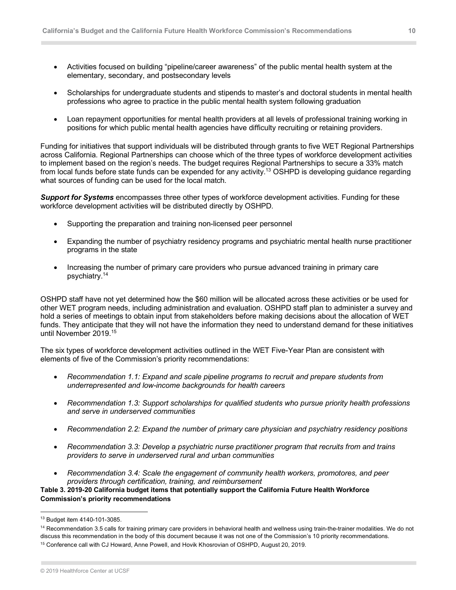- Activities focused on building "pipeline/career awareness" of the public mental health system at the elementary, secondary, and postsecondary levels
- Scholarships for undergraduate students and stipends to master's and doctoral students in mental health professions who agree to practice in the public mental health system following graduation
- Loan repayment opportunities for mental health providers at all levels of professional training working in positions for which public mental health agencies have difficulty recruiting or retaining providers.

Funding for initiatives that support individuals will be distributed through grants to five WET Regional Partnerships across California. Regional Partnerships can choose which of the three types of workforce development activities to implement based on the region's needs. The budget requires Regional Partnerships to secure a 33% match from local funds before state funds can be expended for any activity.<sup>13</sup> OSHPD is developing guidance regarding what sources of funding can be used for the local match.

*Support for Systems* encompasses three other types of workforce development activities. Funding for these workforce development activities will be distributed directly by OSHPD.

- Supporting the preparation and training non-licensed peer personnel
- Expanding the number of psychiatry residency programs and psychiatric mental health nurse practitioner programs in the state
- Increasing the number of primary care providers who pursue advanced training in primary care psychiatry.14

OSHPD staff have not yet determined how the \$60 million will be allocated across these activities or be used for other WET program needs, including administration and evaluation. OSHPD staff plan to administer a survey and hold a series of meetings to obtain input from stakeholders before making decisions about the allocation of WET funds. They anticipate that they will not have the information they need to understand demand for these initiatives until November 2019. 15

The six types of workforce development activities outlined in the WET Five-Year Plan are consistent with elements of five of the Commission's priority recommendations:

- *Recommendation 1.1: Expand and scale pipeline programs to recruit and prepare students from underrepresented and low-income backgrounds for health careers*
- *Recommendation 1.3: Support scholarships for qualified students who pursue priority health professions and serve in underserved communities*
- *Recommendation 2.2: Expand the number of primary care physician and psychiatry residency positions*
- *Recommendation 3.3: Develop a psychiatric nurse practitioner program that recruits from and trains providers to serve in underserved rural and urban communities*
- *Recommendation 3.4: Scale the engagement of community health workers, promotores, and peer providers through certification, training, and reimbursement*

**Table 3. 2019-20 California budget items that potentially support the California Future Health Workforce Commission's priority recommendations**

<sup>13</sup> Budget item 4140-101-3085.

<sup>&</sup>lt;sup>14</sup> Recommendation 3.5 calls for training primary care providers in behavioral health and wellness using train-the-trainer modalities. We do not discuss this recommendation in the body of this document because it was not one of the Commission's 10 priority recommendations.

<sup>&</sup>lt;sup>15</sup> Conference call with CJ Howard, Anne Powell, and Hovik Khosrovian of OSHPD, August 20, 2019.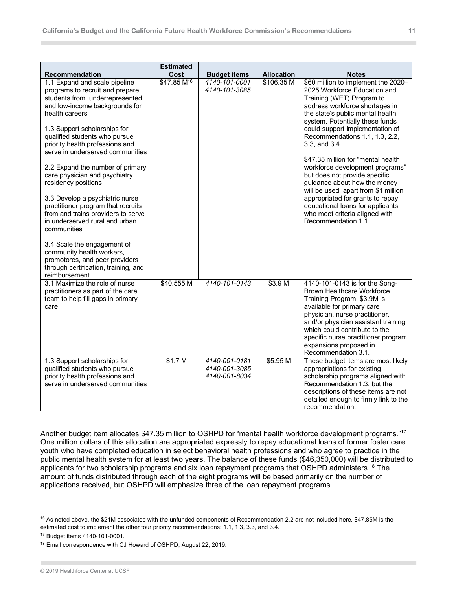| <b>Recommendation</b>                                                                                                                                                                                                                                                                                                                                                                                                                                                                                                                                                                                                                                                                                             | <b>Estimated</b><br>Cost | <b>Budget items</b>                             | <b>Allocation</b>  | <b>Notes</b>                                                                                                                                                                                                                                                                                                                                                                                                                                                                                                                                                                                                       |
|-------------------------------------------------------------------------------------------------------------------------------------------------------------------------------------------------------------------------------------------------------------------------------------------------------------------------------------------------------------------------------------------------------------------------------------------------------------------------------------------------------------------------------------------------------------------------------------------------------------------------------------------------------------------------------------------------------------------|--------------------------|-------------------------------------------------|--------------------|--------------------------------------------------------------------------------------------------------------------------------------------------------------------------------------------------------------------------------------------------------------------------------------------------------------------------------------------------------------------------------------------------------------------------------------------------------------------------------------------------------------------------------------------------------------------------------------------------------------------|
| 1.1 Expand and scale pipeline<br>programs to recruit and prepare<br>students from underrepresented<br>and low-income backgrounds for<br>health careers<br>1.3 Support scholarships for<br>qualified students who pursue<br>priority health professions and<br>serve in underserved communities<br>2.2 Expand the number of primary<br>care physician and psychiatry<br>residency positions<br>3.3 Develop a psychiatric nurse<br>practitioner program that recruits<br>from and trains providers to serve<br>in underserved rural and urban<br>communities<br>3.4 Scale the engagement of<br>community health workers,<br>promotores, and peer providers<br>through certification, training, and<br>reimbursement | \$47,85 M <sup>16</sup>  | 4140-101-0001<br>4140-101-3085                  | \$106.35 M         | \$60 million to implement the 2020-<br>2025 Workforce Education and<br>Training (WET) Program to<br>address workforce shortages in<br>the state's public mental health<br>system. Potentially these funds<br>could support implementation of<br>Recommendations 1.1, 1.3, 2.2,<br>3.3, and 3.4.<br>\$47.35 million for "mental health<br>workforce development programs"<br>but does not provide specific<br>guidance about how the money<br>will be used, apart from \$1 million<br>appropriated for grants to repay<br>educational loans for applicants<br>who meet criteria aligned with<br>Recommendation 1.1. |
| 3.1 Maximize the role of nurse<br>practitioners as part of the care<br>team to help fill gaps in primary<br>care                                                                                                                                                                                                                                                                                                                                                                                                                                                                                                                                                                                                  | \$40.555 M               | 4140-101-0143                                   | \$3.9 <sub>M</sub> | 4140-101-0143 is for the Song-<br><b>Brown Healthcare Workforce</b><br>Training Program; \$3.9M is<br>available for primary care<br>physician, nurse practitioner,<br>and/or physician assistant training,<br>which could contribute to the<br>specific nurse practitioner program<br>expansions proposed in<br>Recommendation 3.1.                                                                                                                                                                                                                                                                                |
| 1.3 Support scholarships for<br>qualified students who pursue<br>priority health professions and<br>serve in underserved communities                                                                                                                                                                                                                                                                                                                                                                                                                                                                                                                                                                              | \$1.7 <sub>M</sub>       | 4140-001-0181<br>4140-001-3085<br>4140-001-8034 | \$5.95 M           | These budget items are most likely<br>appropriations for existing<br>scholarship programs aligned with<br>Recommendation 1.3, but the<br>descriptions of these items are not<br>detailed enough to firmly link to the<br>recommendation.                                                                                                                                                                                                                                                                                                                                                                           |

Another budget item allocates \$47.35 million to OSHPD for "mental health workforce development programs."<sup>17</sup> One million dollars of this allocation are appropriated expressly to repay educational loans of former foster care youth who have completed education in select behavioral health professions and who agree to practice in the public mental health system for at least two years. The balance of these funds (\$46,350,000) will be distributed to applicants for two scholarship programs and six loan repayment programs that OSHPD administers.<sup>18</sup> The amount of funds distributed through each of the eight programs will be based primarily on the number of applications received, but OSHPD will emphasize three of the loan repayment programs.

 $16$  As noted above, the \$21M associated with the unfunded components of Recommendation 2.2 are not included here. \$47.85M is the estimated cost to implement the other four priority recommendations: 1.1, 1.3, 3.3, and 3.4.

<sup>17</sup> Budget items 4140-101-0001.

<sup>&</sup>lt;sup>18</sup> Email correspondence with CJ Howard of OSHPD, August 22, 2019.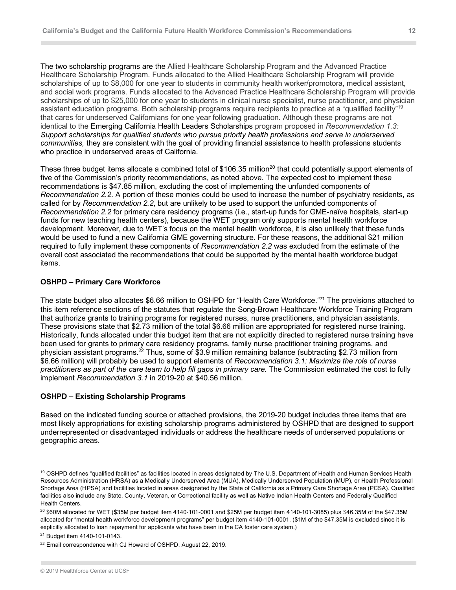The two scholarship programs are the Allied Healthcare Scholarship Program and the Advanced Practice Healthcare Scholarship Program. Funds allocated to the Allied Healthcare Scholarship Program will provide scholarships of up to \$8,000 for one year to students in community health worker/promotora, medical assistant, and social work programs. Funds allocated to the Advanced Practice Healthcare Scholarship Program will provide scholarships of up to \$25,000 for one year to students in clinical nurse specialist, nurse practitioner, and physician assistant education programs. Both scholarship programs require recipients to practice at a "qualified facility"19 that cares for underserved Californians for one year following graduation. Although these programs are not identical to the Emerging California Health Leaders Scholarships program proposed in *Recommendation 1.3: Support scholarships for qualified students who pursue priority health professions and serve in underserved communities,* they are consistent with the goal of providing financial assistance to health professions students who practice in underserved areas of California.

These three budget items allocate a combined total of \$106.35 million<sup>20</sup> that could potentially support elements of five of the Commission's priority recommendations, as noted above. The expected cost to implement these recommendations is \$47.85 million, excluding the cost of implementing the unfunded components of *Recommendation 2.2*. A portion of these monies could be used to increase the number of psychiatry residents, as called for by *Recommendation 2.2*, but are unlikely to be used to support the unfunded components of *Recommendation 2.2* for primary care residency programs (i.e., start-up funds for GME-naïve hospitals, start-up funds for new teaching health centers), because the WET program only supports mental health workforce development. Moreover, due to WET's focus on the mental health workforce, it is also unlikely that these funds would be used to fund a new California GME governing structure. For these reasons, the additional \$21 million required to fully implement these components of *Recommendation 2.2* was excluded from the estimate of the overall cost associated the recommendations that could be supported by the mental health workforce budget items.

#### **OSHPD – Primary Care Workforce**

The state budget also allocates \$6.66 million to OSHPD for "Health Care Workforce."<sup>21</sup> The provisions attached to this item reference sections of the statutes that regulate the Song-Brown Healthcare Workforce Training Program that authorize grants to training programs for registered nurses, nurse practitioners, and physician assistants. These provisions state that \$2.73 million of the total \$6.66 million are appropriated for registered nurse training. Historically, funds allocated under this budget item that are not explicitly directed to registered nurse training have been used for grants to primary care residency programs, family nurse practitioner training programs, and physician assistant programs.<sup>22</sup> Thus, some of \$3.9 million remaining balance (subtracting \$2.73 million from \$6.66 million) will probably be used to support elements of *Recommendation 3.1: Maximize the role of nurse*  practitioners as part of the care team to help fill gaps in primary care. The Commission estimated the cost to fully implement *Recommendation 3.1* in 2019-20 at \$40.56 million.

#### **OSHPD – Existing Scholarship Programs**

Based on the indicated funding source or attached provisions, the 2019-20 budget includes three items that are most likely appropriations for existing scholarship programs administered by OSHPD that are designed to support underrepresented or disadvantaged individuals or address the healthcare needs of underserved populations or geographic areas.

<sup>&</sup>lt;sup>19</sup> OSHPD defines "qualified facilities" as facilities located in areas designated by The U.S. Department of Health and Human Services Health Resources Administration (HRSA) as a Medically Underserved Area (MUA), Medically Underserved Population (MUP), or Health Professional Shortage Area (HPSA) and facilities located in areas designated by the State of California as a Primary Care Shortage Area (PCSA). Qualified facilities also include any State, County, Veteran, or Correctional facility as well as Native Indian Health Centers and Federally Qualified Health Centers.

 $^{20}$  \$60M allocated for WET (\$35M per budget item 4140-101-0001 and \$25M per budget item 4140-101-3085) plus \$46.35M of the \$47.35M allocated for "mental health workforce development programs" per budget item 4140-101-0001. (\$1M of the \$47.35M is excluded since it is explicitly allocated to loan repayment for applicants who have been in the CA foster care system.)

<sup>21</sup> Budget item 4140-101-0143.

<sup>&</sup>lt;sup>22</sup> Email correspondence with CJ Howard of OSHPD, August 22, 2019.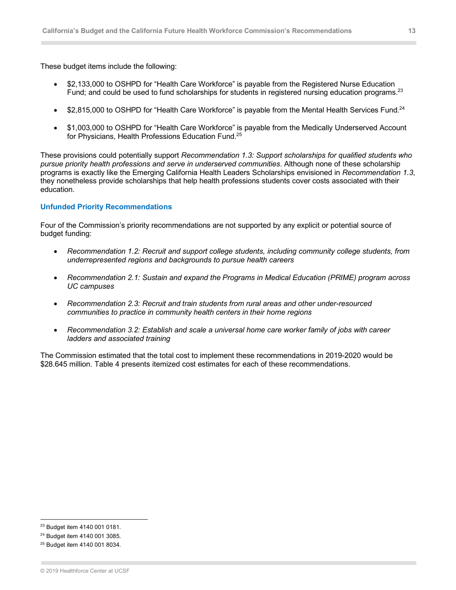These budget items include the following:

- \$2,133,000 to OSHPD for "Health Care Workforce" is payable from the Registered Nurse Education Fund; and could be used to fund scholarships for students in registered nursing education programs.<sup>23</sup>
- \$2,815,000 to OSHPD for "Health Care Workforce" is payable from the Mental Health Services Fund.<sup>24</sup>
- \$1,003,000 to OSHPD for "Health Care Workforce" is payable from the Medically Underserved Account for Physicians, Health Professions Education Fund.<sup>25</sup>

These provisions could potentially support *Recommendation 1.3: Support scholarships for qualified students who pursue priority health professions and serve in underserved communities*. Although none of these scholarship programs is exactly like the Emerging California Health Leaders Scholarships envisioned in *Recommendation 1.3*, they nonetheless provide scholarships that help health professions students cover costs associated with their education.

#### **Unfunded Priority Recommendations**

Four of the Commission's priority recommendations are not supported by any explicit or potential source of budget funding:

- *Recommendation 1.2: Recruit and support college students, including community college students, from underrepresented regions and backgrounds to pursue health careers*
- *Recommendation 2.1: Sustain and expand the Programs in Medical Education (PRIME) program across UC campuses*
- *Recommendation 2.3: Recruit and train students from rural areas and other under-resourced communities to practice in community health centers in their home regions*
- *Recommendation 3.2: Establish and scale a universal home care worker family of jobs with career ladders and associated training*

The Commission estimated that the total cost to implement these recommendations in 2019-2020 would be \$28.645 million. Table 4 presents itemized cost estimates for each of these recommendations.

<sup>&</sup>lt;sup>23</sup> Budget item 4140 001 0181.

<sup>24</sup> Budget item 4140 001 3085.

<sup>25</sup> Budget item 4140 001 8034.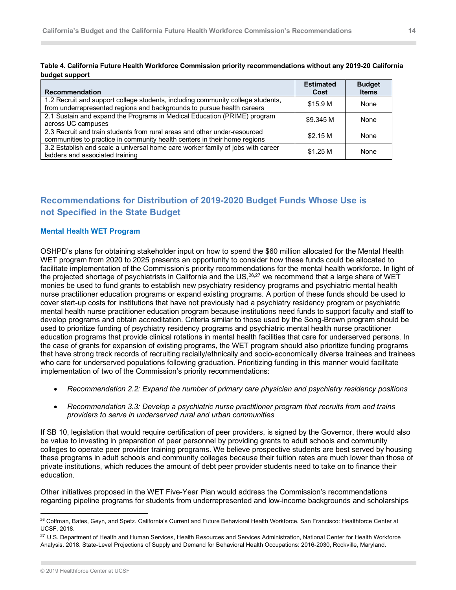|                |  | Table 4. California Future Health Workforce Commission priority recommendations without any 2019-20 California |  |
|----------------|--|----------------------------------------------------------------------------------------------------------------|--|
| budget support |  |                                                                                                                |  |

| <b>Recommendation</b>                                                                                                                                     | <b>Estimated</b><br>Cost | <b>Budget</b><br><b>Items</b> |
|-----------------------------------------------------------------------------------------------------------------------------------------------------------|--------------------------|-------------------------------|
| 1.2 Recruit and support college students, including community college students,<br>from underrepresented regions and backgrounds to pursue health careers | \$15.9 M                 | None                          |
| 2.1 Sustain and expand the Programs in Medical Education (PRIME) program<br>across UC campuses                                                            | \$9.345 M                | None                          |
| 2.3 Recruit and train students from rural areas and other under-resourced<br>communities to practice in community health centers in their home regions    | \$2.15 M                 | None                          |
| 3.2 Establish and scale a universal home care worker family of jobs with career<br>ladders and associated training                                        | \$1.25 M                 | None                          |

# **Recommendations for Distribution of 2019-2020 Budget Funds Whose Use is not Specified in the State Budget**

#### **Mental Health WET Program**

OSHPD's plans for obtaining stakeholder input on how to spend the \$60 million allocated for the Mental Health WET program from 2020 to 2025 presents an opportunity to consider how these funds could be allocated to facilitate implementation of the Commission's priority recommendations for the mental health workforce. In light of the projected shortage of psychiatrists in California and the US,<sup>26,27</sup> we recommend that a large share of WET monies be used to fund grants to establish new psychiatry residency programs and psychiatric mental health nurse practitioner education programs or expand existing programs. A portion of these funds should be used to cover start-up costs for institutions that have not previously had a psychiatry residency program or psychiatric mental health nurse practitioner education program because institutions need funds to support faculty and staff to develop programs and obtain accreditation. Criteria similar to those used by the Song-Brown program should be used to prioritize funding of psychiatry residency programs and psychiatric mental health nurse practitioner education programs that provide clinical rotations in mental health facilities that care for underserved persons. In the case of grants for expansion of existing programs, the WET program should also prioritize funding programs that have strong track records of recruiting racially/ethnically and socio-economically diverse trainees and trainees who care for underserved populations following graduation. Prioritizing funding in this manner would facilitate implementation of two of the Commission's priority recommendations:

- *Recommendation 2.2: Expand the number of primary care physician and psychiatry residency positions*
- *Recommendation 3.3: Develop a psychiatric nurse practitioner program that recruits from and trains providers to serve in underserved rural and urban communities*

If SB 10, legislation that would require certification of peer providers, is signed by the Governor, there would also be value to investing in preparation of peer personnel by providing grants to adult schools and community colleges to operate peer provider training programs. We believe prospective students are best served by housing these programs in adult schools and community colleges because their tuition rates are much lower than those of private institutions, which reduces the amount of debt peer provider students need to take on to finance their education.

Other initiatives proposed in the WET Five-Year Plan would address the Commission's recommendations regarding pipeline programs for students from underrepresented and low-income backgrounds and scholarships

<sup>&</sup>lt;sup>26</sup> Coffman, Bates, Geyn, and Spetz. California's Current and Future Behavioral Health Workforce. San Francisco: Healthforce Center at UCSF, 2018.

<sup>&</sup>lt;sup>27</sup> U.S. Department of Health and Human Services, Health Resources and Services Administration, National Center for Health Workforce Analysis. 2018. State-Level Projections of Supply and Demand for Behavioral Health Occupations: 2016-2030, Rockville, Maryland.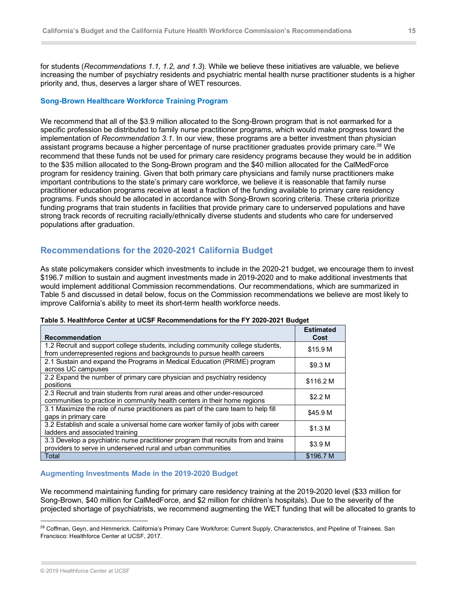for students (*Recommendations 1.1, 1.2, and 1.3*). While we believe these initiatives are valuable, we believe increasing the number of psychiatry residents and psychiatric mental health nurse practitioner students is a higher priority and, thus, deserves a larger share of WET resources.

#### **Song-Brown Healthcare Workforce Training Program**

We recommend that all of the \$3.9 million allocated to the Song-Brown program that is not earmarked for a specific profession be distributed to family nurse practitioner programs, which would make progress toward the implementation of *Recommendation 3.1*. In our view, these programs are a better investment than physician assistant programs because a higher percentage of nurse practitioner graduates provide primary care.<sup>28</sup> We recommend that these funds not be used for primary care residency programs because they would be in addition to the \$35 million allocated to the Song-Brown program and the \$40 million allocated for the CalMedForce program for residency training. Given that both primary care physicians and family nurse practitioners make important contributions to the state's primary care workforce, we believe it is reasonable that family nurse practitioner education programs receive at least a fraction of the funding available to primary care residency programs. Funds should be allocated in accordance with Song-Brown scoring criteria. These criteria prioritize funding programs that train students in facilities that provide primary care to underserved populations and have strong track records of recruiting racially/ethnically diverse students and students who care for underserved populations after graduation.

# **Recommendations for the 2020-2021 California Budget**

As state policymakers consider which investments to include in the 2020-21 budget, we encourage them to invest \$196.7 million to sustain and augment investments made in 2019-2020 and to make additional investments that would implement additional Commission recommendations. Our recommendations, which are summarized in Table 5 and discussed in detail below, focus on the Commission recommendations we believe are most likely to improve California's ability to meet its short-term health workforce needs.

#### **Table 5. Healthforce Center at UCSF Recommendations for the FY 2020-2021 Budget**

| <b>Recommendation</b>                                                                                                                                     | <b>Estimated</b><br>Cost |
|-----------------------------------------------------------------------------------------------------------------------------------------------------------|--------------------------|
| 1.2 Recruit and support college students, including community college students,<br>from underrepresented regions and backgrounds to pursue health careers | \$15.9 M                 |
| 2.1 Sustain and expand the Programs in Medical Education (PRIME) program<br>across UC campuses                                                            | \$9.3 <sub>M</sub>       |
| 2.2 Expand the number of primary care physician and psychiatry residency<br>positions                                                                     | \$116.2 M                |
| 2.3 Recruit and train students from rural areas and other under-resourced<br>communities to practice in community health centers in their home regions    | \$2.2 <sub>M</sub>       |
| 3.1 Maximize the role of nurse practitioners as part of the care team to help fill<br>gaps in primary care                                                | \$45.9 M                 |
| 3.2 Establish and scale a universal home care worker family of jobs with career<br>ladders and associated training                                        | \$1.3 <sub>M</sub>       |
| 3.3 Develop a psychiatric nurse practitioner program that recruits from and trains<br>providers to serve in underserved rural and urban communities       | \$3.9 <sub>M</sub>       |
| Total                                                                                                                                                     | \$196.7 M                |

#### **Augmenting Investments Made in the 2019-2020 Budget**

We recommend maintaining funding for primary care residency training at the 2019-2020 level (\$33 million for Song-Brown, \$40 million for CalMedForce, and \$2 million for children's hospitals). Due to the severity of the projected shortage of psychiatrists, we recommend augmenting the WET funding that will be allocated to grants to

<sup>&</sup>lt;sup>28</sup> Coffman, Geyn, and Himmerick. California's Primary Care Workforce: Current Supply, Characteristics, and Pipeline of Trainees. San Francisco: Healthforce Center at UCSF, 2017.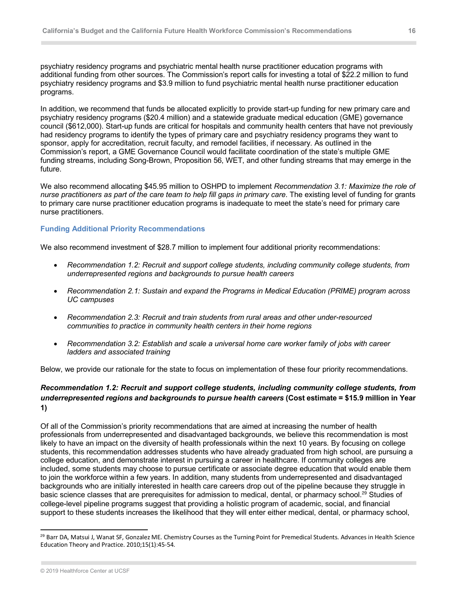psychiatry residency programs and psychiatric mental health nurse practitioner education programs with additional funding from other sources. The Commission's report calls for investing a total of \$22.2 million to fund psychiatry residency programs and \$3.9 million to fund psychiatric mental health nurse practitioner education programs.

In addition, we recommend that funds be allocated explicitly to provide start-up funding for new primary care and psychiatry residency programs (\$20.4 million) and a statewide graduate medical education (GME) governance council (\$612,000). Start-up funds are critical for hospitals and community health centers that have not previously had residency programs to identify the types of primary care and psychiatry residency programs they want to sponsor, apply for accreditation, recruit faculty, and remodel facilities, if necessary. As outlined in the Commission's report, a GME Governance Council would facilitate coordination of the state's multiple GME funding streams, including Song-Brown, Proposition 56, WET, and other funding streams that may emerge in the future.

We also recommend allocating \$45.95 million to OSHPD to implement *Recommendation 3.1: Maximize the role of nurse practitioners as part of the care team to help fill gaps in primary care*. The existing level of funding for grants to primary care nurse practitioner education programs is inadequate to meet the state's need for primary care nurse practitioners.

#### **Funding Additional Priority Recommendations**

We also recommend investment of \$28.7 million to implement four additional priority recommendations:

- *Recommendation 1.2: Recruit and support college students, including community college students, from underrepresented regions and backgrounds to pursue health careers*
- *Recommendation 2.1: Sustain and expand the Programs in Medical Education (PRIME) program across UC campuses*
- *Recommendation 2.3: Recruit and train students from rural areas and other under-resourced communities to practice in community health centers in their home regions*
- *Recommendation 3.2: Establish and scale a universal home care worker family of jobs with career ladders and associated training*

Below, we provide our rationale for the state to focus on implementation of these four priority recommendations.

#### *Recommendation 1.2: Recruit and support college students, including community college students, from underrepresented regions and backgrounds to pursue health careers* **(Cost estimate = \$15.9 million in Year 1)**

Of all of the Commission's priority recommendations that are aimed at increasing the number of health professionals from underrepresented and disadvantaged backgrounds, we believe this recommendation is most likely to have an impact on the diversity of health professionals within the next 10 years. By focusing on college students, this recommendation addresses students who have already graduated from high school, are pursuing a college education, and demonstrate interest in pursuing a career in healthcare. If community colleges are included, some students may choose to pursue certificate or associate degree education that would enable them to join the workforce within a few years. In addition, many students from underrepresented and disadvantaged backgrounds who are initially interested in health care careers drop out of the pipeline because they struggle in basic science classes that are prerequisites for admission to medical, dental, or pharmacy school.<sup>29</sup> Studies of college-level pipeline programs suggest that providing a holistic program of academic, social, and financial support to these students increases the likelihood that they will enter either medical, dental, or pharmacy school,

<sup>&</sup>lt;sup>29</sup> Barr DA, Matsui J, Wanat SF, Gonzalez ME. Chemistry Courses as the Turning Point for Premedical Students. Advances in Health Science Education Theory and Practice. 2010;15(1):45-54.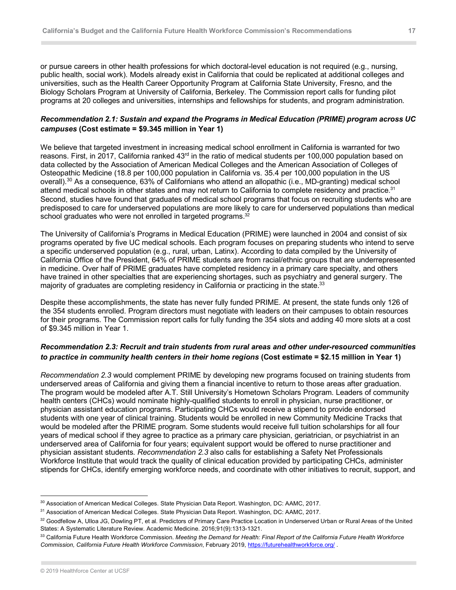or pursue careers in other health professions for which doctoral-level education is not required (e.g., nursing, public health, social work). Models already exist in California that could be replicated at additional colleges and universities, such as the Health Career Opportunity Program at California State University, Fresno, and the Biology Scholars Program at University of California, Berkeley. The Commission report calls for funding pilot programs at 20 colleges and universities, internships and fellowships for students, and program administration.

## *Recommendation 2.1: Sustain and expand the Programs in Medical Education (PRIME) program across UC campuses* **(Cost estimate = \$9.345 million in Year 1)**

We believe that targeted investment in increasing medical school enrollment in California is warranted for two reasons. First, in 2017, California ranked  $43<sup>rd</sup>$  in the ratio of medical students per 100,000 population based on data collected by the Association of American Medical Colleges and the American Association of Colleges of Osteopathic Medicine (18.8 per 100,000 population in California vs. 35.4 per 100,000 population in the US overall).30 As a consequence, 63% of Californians who attend an allopathic (i.e., MD-granting) medical school attend medical schools in other states and may not return to California to complete residency and practice.<sup>31</sup> Second, studies have found that graduates of medical school programs that focus on recruiting students who are predisposed to care for underserved populations are more likely to care for underserved populations than medical school graduates who were not enrolled in targeted programs.<sup>32</sup>

The University of California's Programs in Medical Education (PRIME) were launched in 2004 and consist of six programs operated by five UC medical schools. Each program focuses on preparing students who intend to serve a specific underserved population (e.g., rural, urban, Latinx). According to data compiled by the University of California Office of the President, 64% of PRIME students are from racial/ethnic groups that are underrepresented in medicine. Over half of PRIME graduates have completed residency in a primary care specialty, and others have trained in other specialties that are experiencing shortages, such as psychiatry and general surgery. The majority of graduates are completing residency in California or practicing in the state.<sup>33</sup>

Despite these accomplishments, the state has never fully funded PRIME. At present, the state funds only 126 of the 354 students enrolled. Program directors must negotiate with leaders on their campuses to obtain resources for their programs. The Commission report calls for fully funding the 354 slots and adding 40 more slots at a cost of \$9.345 million in Year 1.

## *Recommendation 2.3: Recruit and train students from rural areas and other under-resourced communities to practice in community health centers in their home regions* **(Cost estimate = \$2.15 million in Year 1)**

*Recommendation 2.3* would complement PRIME by developing new programs focused on training students from underserved areas of California and giving them a financial incentive to return to those areas after graduation. The program would be modeled after A.T. Still University's Hometown Scholars Program. Leaders of community health centers (CHCs) would nominate highly-qualified students to enroll in physician, nurse practitioner, or physician assistant education programs. Participating CHCs would receive a stipend to provide endorsed students with one year of clinical training. Students would be enrolled in new Community Medicine Tracks that would be modeled after the PRIME program. Some students would receive full tuition scholarships for all four years of medical school if they agree to practice as a primary care physician, geriatrician, or psychiatrist in an underserved area of California for four years; equivalent support would be offered to nurse practitioner and physician assistant students. *Recommendation 2.3* also calls for establishing a Safety Net Professionals Workforce Institute that would track the quality of clinical education provided by participating CHCs, administer stipends for CHCs, identify emerging workforce needs, and coordinate with other initiatives to recruit, support, and

<sup>30</sup> Association of American Medical Colleges. State Physician Data Report. Washington, DC: AAMC, 2017.

<sup>31</sup> Association of American Medical Colleges. State Physician Data Report. Washington, DC: AAMC, 2017.

<sup>32</sup> Goodfellow A, Ulloa JG, Dowling PT, et al. Predictors of Primary Care Practice Location in Underserved Urban or Rural Areas of the United States: A Systematic Literature Review. Academic Medicine. 2016;91(9):1313-1321.

<sup>33</sup> California Future Health Workforce Commission. *Meeting the Demand for Health: Final Report of the California Future Health Workforce Commission, California Future Health Workforce Commission*, February 2019, https://futurehealthworkforce.org/ .